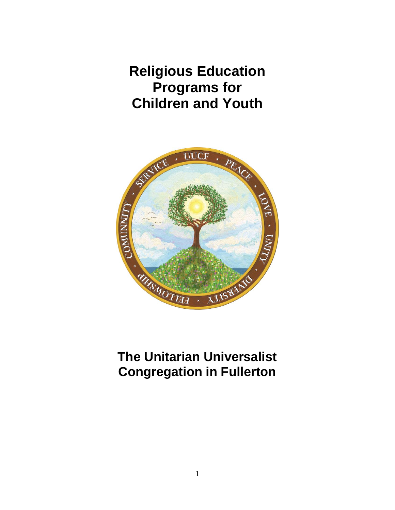**Religious Education Programs for Children and Youth**



# **The Unitarian Universalist Congregation in Fullerton**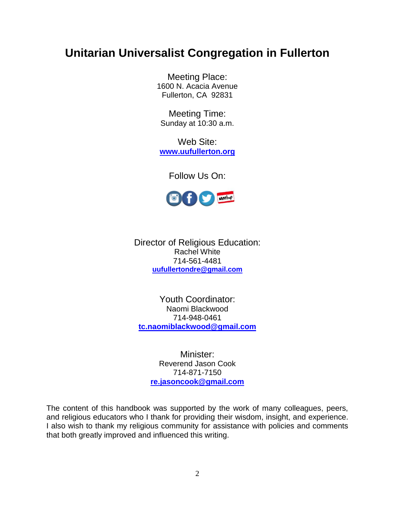# **Unitarian Universalist Congregation in Fullerton**

Meeting Place: 1600 N. Acacia Avenue Fullerton, CA 92831

Meeting Time: Sunday at 10:30 a.m.

Web Site: **[www.uufullerton.org](http://www.uufullerton.org/)**

Follow Us On:



Director of Religious Education: Rachel White 714-561-4481 **[uufullertondre@gmail.com](mailto:uufullertondre@gmail.com)**

Youth Coordinator: Naomi Blackwood 714-948-0461 **[tc.naomiblackwood@gmail.com](mailto:tc.naomiblackwood@gmail.com)**

Minister: Reverend Jason Cook 714-871-7150 **[re.jasoncook@gmail.com](mailto:sf6950@gmail.com)**

The content of this handbook was supported by the work of many colleagues, peers, and religious educators who I thank for providing their wisdom, insight, and experience. I also wish to thank my religious community for assistance with policies and comments that both greatly improved and influenced this writing.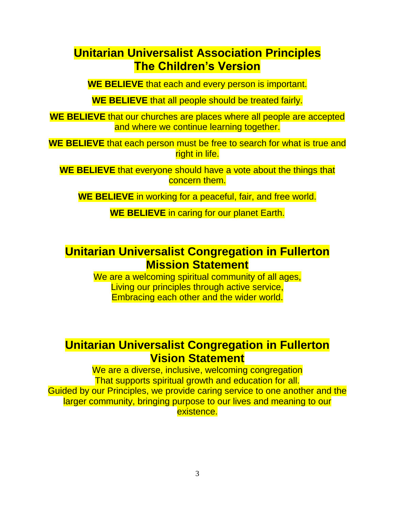# **Unitarian Universalist Association Principles The Children's Version**

**WE BELIEVE** that each and every person is important.

**WE BELIEVE** that all people should be treated fairly.

**WE BELIEVE** that our churches are places where all people are accepted and where we continue learning together.

**WE BELIEVE** that each person must be free to search for what is true and right in life.

**WE BELIEVE** that everyone should have a vote about the things that concern them.

**WE BELIEVE** in working for a peaceful, fair, and free world.

**WE BELIEVE** in caring for our planet Earth.

# **Unitarian Universalist Congregation in Fullerton Mission Statement**

We are a welcoming spiritual community of all ages, Living our principles through active service, Embracing each other and the wider world.

# **Unitarian Universalist Congregation in Fullerton Vision Statement**

We are a diverse, inclusive, welcoming congregation That supports spiritual growth and education for all. Guided by our Principles, we provide caring service to one another and the larger community, bringing purpose to our lives and meaning to our existence.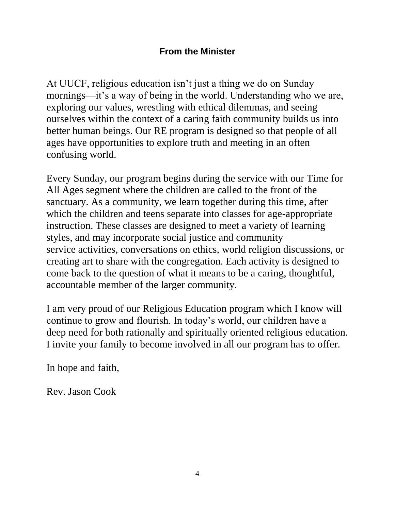# **From the Minister**

At UUCF, religious education isn't just a thing we do on Sunday mornings—it's a way of being in the world. Understanding who we are, exploring our values, wrestling with ethical dilemmas, and seeing ourselves within the context of a caring faith community builds us into better human beings. Our RE program is designed so that people of all ages have opportunities to explore truth and meeting in an often confusing world.

Every Sunday, our program begins during the service with our Time for All Ages segment where the children are called to the front of the sanctuary. As a community, we learn together during this time, after which the children and teens separate into classes for age-appropriate instruction. These classes are designed to meet a variety of learning styles, and may incorporate social justice and community service activities, conversations on ethics, world religion discussions, or creating art to share with the congregation. Each activity is designed to come back to the question of what it means to be a caring, thoughtful, accountable member of the larger community.

I am very proud of our Religious Education program which I know will continue to grow and flourish. In today's world, our children have a deep need for both rationally and spiritually oriented religious education. I invite your family to become involved in all our program has to offer.

In hope and faith,

Rev. Jason Cook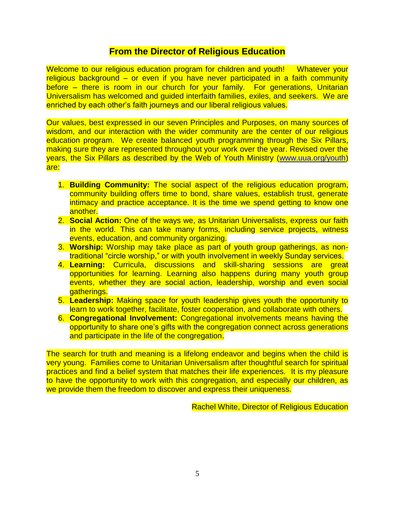## **From the Director of Religious Education**

Welcome to our religious education program for children and youth! Whatever your religious background – or even if you have never participated in a faith community before – there is room in our church for your family. For generations, Unitarian Universalism has welcomed and guided interfaith families, exiles, and seekers. We are enriched by each other's faith journeys and our liberal religious values.

Our values, best expressed in our seven Principles and Purposes, on many sources of wisdom, and our interaction with the wider community are the center of our religious education program. We create balanced youth programming through the Six Pillars, making sure they are represented throughout your work over the year. Revised over the years, the Six Pillars as described by the Web of Youth Ministry [\(www.uua.org/youth\)](http://www.uua.org/youth) are:

- 1. **Building Community:** The social aspect of the religious education program, community building offers time to bond, share values, establish trust, generate intimacy and practice acceptance. It is the time we spend getting to know one another.
- 2. **Social Action:** One of the ways we, as Unitarian Universalists, express our faith in the world. This can take many forms, including service projects, witness events, education, and community organizing.
- 3. **Worship:** Worship may take place as part of youth group gatherings, as nontraditional "circle worship," or with youth involvement in weekly Sunday services.
- 4. **Learning:** Curricula, discussions and skill-sharing sessions are great opportunities for learning. Learning also happens during many youth group events, whether they are social action, leadership, worship and even social aatherings.
- 5. **Leadership:** Making space for youth leadership gives youth the opportunity to learn to work together, facilitate, foster cooperation, and collaborate with others.
- 6. **Congregational Involvement:** Congregational involvements means having the opportunity to share one's gifts with the congregation connect across generations and participate in the life of the congregation.

The search for truth and meaning is a lifelong endeavor and begins when the child is very young. Families come to Unitarian Universalism after thoughtful search for spiritual practices and find a belief system that matches their life experiences. It is my pleasure to have the opportunity to work with this congregation, and especially our children, as we provide them the freedom to discover and express their uniqueness.

Rachel White, Director of Religious Education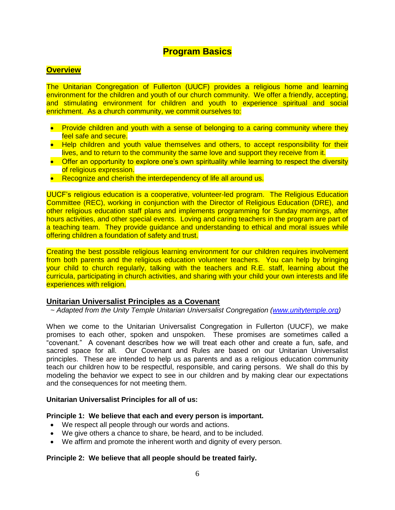## **Program Basics**

#### **Overview**

The Unitarian Congregation of Fullerton (UUCF) provides a religious home and learning environment for the children and youth of our church community. We offer a friendly, accepting, and stimulating environment for children and youth to experience spiritual and social enrichment. As a church community, we commit ourselves to:

- Provide children and youth with a sense of belonging to a caring community where they feel safe and secure.
- Help children and youth value themselves and others, to accept responsibility for their lives, and to return to the community the same love and support they receive from it.
- Offer an opportunity to explore one's own spirituality while learning to respect the diversity of religious expression.
- Recognize and cherish the interdependency of life all around us.

UUCF's religious education is a cooperative, volunteer-led program. The Religious Education Committee (REC), working in conjunction with the Director of Religious Education (DRE), and other religious education staff plans and implements programming for Sunday mornings, after hours activities, and other special events. Loving and caring teachers in the program are part of a teaching team. They provide quidance and understanding to ethical and moral issues while offering children a foundation of safety and trust.

Creating the best possible religious learning environment for our children requires involvement from both parents and the religious education volunteer teachers. You can help by bringing your child to church regularly, talking with the teachers and R.E. staff, learning about the curricula, participating in church activities, and sharing with your child your own interests and life experiences with religion.

#### **Unitarian Universalist Principles as a Covenant**

 $\sim$  Adapted from the Unity Temple Unitarian Universalist Congregation [\(www.unitytemple.org\)](http://www.unitytemple.org/)

When we come to the Unitarian Universalist Congregation in Fullerton (UUCF), we make promises to each other, spoken and unspoken. These promises are sometimes called a "covenant." A covenant describes how we will treat each other and create a fun, safe, and sacred space for all. Our Covenant and Rules are based on our Unitarian Universalist principles. These are intended to help us as parents and as a religious education community teach our children how to be respectful, responsible, and caring persons. We shall do this by modeling the behavior we expect to see in our children and by making clear our expectations and the consequences for not meeting them.

#### **Unitarian Universalist Principles for all of us:**

#### **Principle 1: We believe that each and every person is important.**

- We respect all people through our words and actions.
- We give others a chance to share, be heard, and to be included.
- We affirm and promote the inherent worth and dignity of every person.

#### **Principle 2: We believe that all people should be treated fairly.**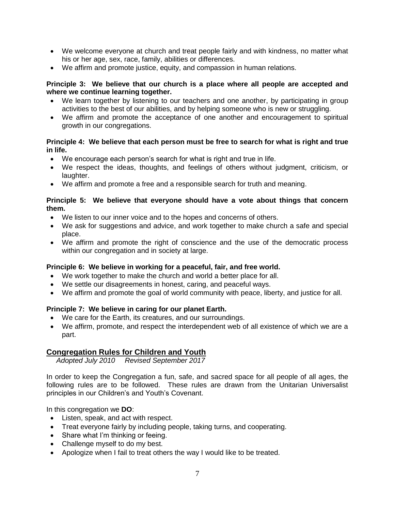- We welcome everyone at church and treat people fairly and with kindness, no matter what his or her age, sex, race, family, abilities or differences.
- We affirm and promote justice, equity, and compassion in human relations.

#### **Principle 3: We believe that our church is a place where all people are accepted and where we continue learning together.**

- We learn together by listening to our teachers and one another, by participating in group activities to the best of our abilities, and by helping someone who is new or struggling.
- We affirm and promote the acceptance of one another and encouragement to spiritual growth in our congregations.

### **Principle 4: We believe that each person must be free to search for what is right and true in life.**

- We encourage each person's search for what is right and true in life.
- We respect the ideas, thoughts, and feelings of others without judgment, criticism, or laughter.
- We affirm and promote a free and a responsible search for truth and meaning.

#### **Principle 5: We believe that everyone should have a vote about things that concern them.**

- We listen to our inner voice and to the hopes and concerns of others.
- We ask for suggestions and advice, and work together to make church a safe and special place.
- We affirm and promote the right of conscience and the use of the democratic process within our congregation and in society at large.

## **Principle 6: We believe in working for a peaceful, fair, and free world.**

- We work together to make the church and world a better place for all.
- We settle our disagreements in honest, caring, and peaceful ways.
- We affirm and promote the goal of world community with peace, liberty, and justice for all.

## **Principle 7: We believe in caring for our planet Earth.**

- We care for the Earth, its creatures, and our surroundings.
- We affirm, promote, and respect the interdependent web of all existence of which we are a part.

## **Congregation Rules for Children and Youth**

*Adopted July 2010 Revised September 2017*

In order to keep the Congregation a fun, safe, and sacred space for all people of all ages, the following rules are to be followed. These rules are drawn from the Unitarian Universalist principles in our Children's and Youth's Covenant.

In this congregation we **DO**:

- Listen, speak, and act with respect.
- Treat everyone fairly by including people, taking turns, and cooperating.
- Share what I'm thinking or feeing.
- Challenge myself to do my best.
- Apologize when I fail to treat others the way I would like to be treated.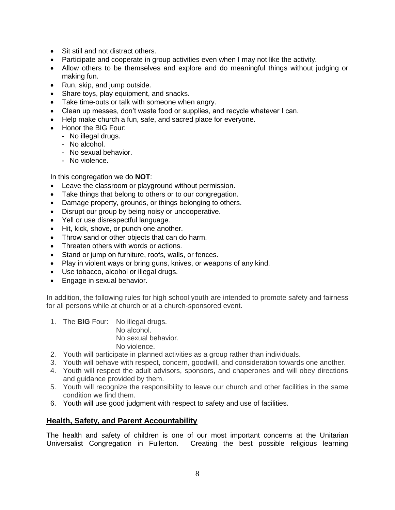- Sit still and not distract others.
- Participate and cooperate in group activities even when I may not like the activity.
- Allow others to be themselves and explore and do meaningful things without judging or making fun.
- Run, skip, and jump outside.
- Share toys, play equipment, and snacks.
- Take time-outs or talk with someone when angry.
- Clean up messes, don't waste food or supplies, and recycle whatever I can.
- Help make church a fun, safe, and sacred place for everyone.
- Honor the BIG Four:
	- No illegal drugs.
	- No alcohol.
	- No sexual behavior.
	- No violence.

In this congregation we do **NOT**:

- Leave the classroom or playground without permission.
- Take things that belong to others or to our congregation.
- Damage property, grounds, or things belonging to others.
- Disrupt our group by being noisy or uncooperative.
- Yell or use disrespectful language.
- Hit, kick, shove, or punch one another.
- Throw sand or other objects that can do harm.
- Threaten others with words or actions.
- Stand or jump on furniture, roofs, walls, or fences.
- Play in violent ways or bring guns, knives, or weapons of any kind.
- Use tobacco, alcohol or illegal drugs.
- **Engage in sexual behavior.**

In addition, the following rules for high school youth are intended to promote safety and fairness for all persons while at church or at a church-sponsored event.

- 1. The **BIG** Four: No illegal drugs. No alcohol. No sexual behavior. No violence.
- 2. Youth will participate in planned activities as a group rather than individuals.
- 3. Youth will behave with respect, concern, goodwill, and consideration towards one another.
- 4. Youth will respect the adult advisors, sponsors, and chaperones and will obey directions and guidance provided by them.
- 5. Youth will recognize the responsibility to leave our church and other facilities in the same condition we find them.
- 6. Youth will use good judgment with respect to safety and use of facilities.

## **Health, Safety, and Parent Accountability**

The health and safety of children is one of our most important concerns at the Unitarian Universalist Congregation in Fullerton. Creating the best possible religious learning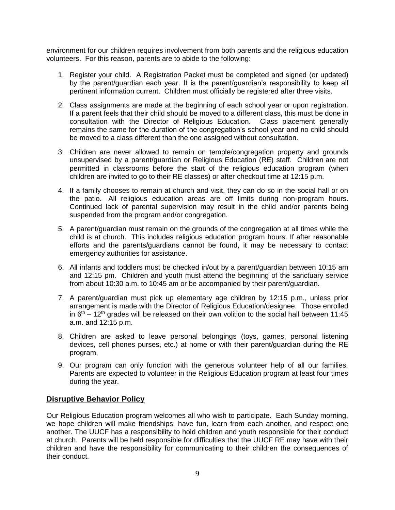environment for our children requires involvement from both parents and the religious education volunteers. For this reason, parents are to abide to the following:

- 1. Register your child. A Registration Packet must be completed and signed (or updated) by the parent/guardian each year. It is the parent/guardian's responsibility to keep all pertinent information current. Children must officially be registered after three visits.
- 2. Class assignments are made at the beginning of each school year or upon registration. If a parent feels that their child should be moved to a different class, this must be done in consultation with the Director of Religious Education. Class placement generally remains the same for the duration of the congregation's school year and no child should be moved to a class different than the one assigned without consultation.
- 3. Children are never allowed to remain on temple/congregation property and grounds unsupervised by a parent/guardian or Religious Education (RE) staff. Children are not permitted in classrooms before the start of the religious education program (when children are invited to go to their RE classes) or after checkout time at 12:15 p.m.
- 4. If a family chooses to remain at church and visit, they can do so in the social hall or on the patio. All religious education areas are off limits during non-program hours. Continued lack of parental supervision may result in the child and/or parents being suspended from the program and/or congregation.
- 5. A parent/guardian must remain on the grounds of the congregation at all times while the child is at church. This includes religious education program hours. If after reasonable efforts and the parents/guardians cannot be found, it may be necessary to contact emergency authorities for assistance.
- 6. All infants and toddlers must be checked in/out by a parent/guardian between 10:15 am and 12:15 pm. Children and youth must attend the beginning of the sanctuary service from about 10:30 a.m. to 10:45 am or be accompanied by their parent/guardian.
- 7. A parent/guardian must pick up elementary age children by 12:15 p.m., unless prior arrangement is made with the Director of Religious Education/designee. Those enrolled in  $6<sup>th</sup> - 12<sup>th</sup>$  grades will be released on their own volition to the social hall between 11:45 a.m. and 12:15 p.m.
- 8. Children are asked to leave personal belongings (toys, games, personal listening devices, cell phones purses, etc.) at home or with their parent/guardian during the RE program.
- 9. Our program can only function with the generous volunteer help of all our families. Parents are expected to volunteer in the Religious Education program at least four times during the year.

## **Disruptive Behavior Policy**

Our Religious Education program welcomes all who wish to participate. Each Sunday morning, we hope children will make friendships, have fun, learn from each another, and respect one another. The UUCF has a responsibility to hold children and youth responsible for their conduct at church. Parents will be held responsible for difficulties that the UUCF RE may have with their children and have the responsibility for communicating to their children the consequences of their conduct.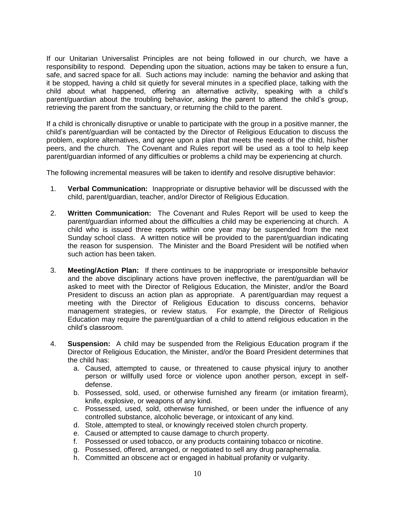If our Unitarian Universalist Principles are not being followed in our church, we have a responsibility to respond. Depending upon the situation, actions may be taken to ensure a fun, safe, and sacred space for all. Such actions may include: naming the behavior and asking that it be stopped, having a child sit quietly for several minutes in a specified place, talking with the child about what happened, offering an alternative activity, speaking with a child's parent/guardian about the troubling behavior, asking the parent to attend the child's group, retrieving the parent from the sanctuary, or returning the child to the parent.

If a child is chronically disruptive or unable to participate with the group in a positive manner, the child's parent/guardian will be contacted by the Director of Religious Education to discuss the problem, explore alternatives, and agree upon a plan that meets the needs of the child, his/her peers, and the church. The Covenant and Rules report will be used as a tool to help keep parent/guardian informed of any difficulties or problems a child may be experiencing at church.

The following incremental measures will be taken to identify and resolve disruptive behavior:

- 1. **Verbal Communication:** Inappropriate or disruptive behavior will be discussed with the child, parent/guardian, teacher, and/or Director of Religious Education.
- 2. **Written Communication:** The Covenant and Rules Report will be used to keep the parent/guardian informed about the difficulties a child may be experiencing at church. A child who is issued three reports within one year may be suspended from the next Sunday school class. A written notice will be provided to the parent/guardian indicating the reason for suspension. The Minister and the Board President will be notified when such action has been taken.
- 3. **Meeting/Action Plan:** If there continues to be inappropriate or irresponsible behavior and the above disciplinary actions have proven ineffective, the parent/guardian will be asked to meet with the Director of Religious Education, the Minister, and/or the Board President to discuss an action plan as appropriate. A parent/guardian may request a meeting with the Director of Religious Education to discuss concerns, behavior management strategies, or review status. For example, the Director of Religious Education may require the parent/guardian of a child to attend religious education in the child's classroom.
- 4. **Suspension:** A child may be suspended from the Religious Education program if the Director of Religious Education, the Minister, and/or the Board President determines that the child has:
	- a. Caused, attempted to cause, or threatened to cause physical injury to another person or willfully used force or violence upon another person, except in selfdefense.
	- b. Possessed, sold, used, or otherwise furnished any firearm (or imitation firearm), knife, explosive, or weapons of any kind.
	- c. Possessed, used, sold, otherwise furnished, or been under the influence of any controlled substance, alcoholic beverage, or intoxicant of any kind.
	- d. Stole, attempted to steal, or knowingly received stolen church property.
	- e. Caused or attempted to cause damage to church property.
	- f. Possessed or used tobacco, or any products containing tobacco or nicotine.
	- g. Possessed, offered, arranged, or negotiated to sell any drug paraphernalia.
	- h. Committed an obscene act or engaged in habitual profanity or vulgarity.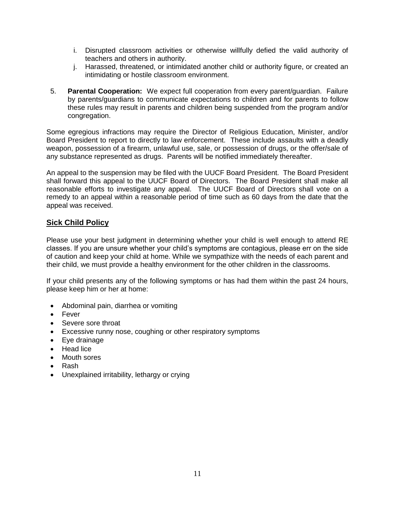- i. Disrupted classroom activities or otherwise willfully defied the valid authority of teachers and others in authority.
- j. Harassed, threatened, or intimidated another child or authority figure, or created an intimidating or hostile classroom environment.
- 5. **Parental Cooperation:** We expect full cooperation from every parent/guardian. Failure by parents/guardians to communicate expectations to children and for parents to follow these rules may result in parents and children being suspended from the program and/or congregation.

Some egregious infractions may require the Director of Religious Education, Minister, and/or Board President to report to directly to law enforcement. These include assaults with a deadly weapon, possession of a firearm, unlawful use, sale, or possession of drugs, or the offer/sale of any substance represented as drugs. Parents will be notified immediately thereafter.

An appeal to the suspension may be filed with the UUCF Board President. The Board President shall forward this appeal to the UUCF Board of Directors. The Board President shall make all reasonable efforts to investigate any appeal. The UUCF Board of Directors shall vote on a remedy to an appeal within a reasonable period of time such as 60 days from the date that the appeal was received.

## **Sick Child Policy**

Please use your best judgment in determining whether your child is well enough to attend RE classes. If you are unsure whether your child's symptoms are contagious, please err on the side of caution and keep your child at home. While we sympathize with the needs of each parent and their child, we must provide a healthy environment for the other children in the classrooms.

If your child presents any of the following symptoms or has had them within the past 24 hours, please keep him or her at home:

- Abdominal pain, diarrhea or vomiting
- Fever
- Severe sore throat
- Excessive runny nose, coughing or other respiratory symptoms
- Eye drainage
- Head lice
- Mouth sores
- Rash
- Unexplained irritability, lethargy or crying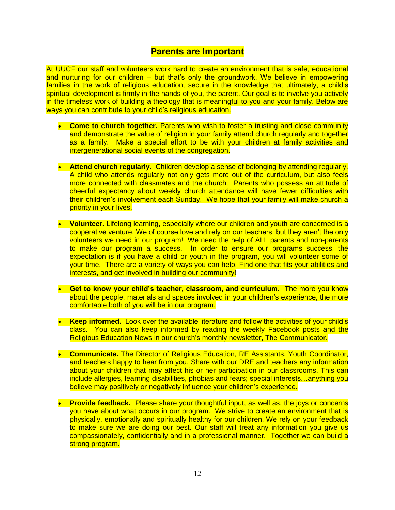## **Parents are Important**

At UUCF our staff and volunteers work hard to create an environment that is safe, educational and nurturing for our children – but that's only the groundwork. We believe in empowering families in the work of religious education, secure in the knowledge that ultimately, a child's spiritual development is firmly in the hands of you, the parent. Our goal is to involve you actively in the timeless work of building a theology that is meaningful to you and your family. Below are ways you can contribute to your child's religious education.

- **Come to church together.** Parents who wish to foster a trusting and close community and demonstrate the value of religion in your family attend church regularly and together as a family. Make a special effort to be with your children at family activities and intergenerational social events of the congregation.
- **Attend church regularly.** Children develop a sense of belonging by attending regularly. A child who attends regularly not only gets more out of the curriculum, but also feels more connected with classmates and the church. Parents who possess an attitude of cheerful expectancy about weekly church attendance will have fewer difficulties with their children's involvement each Sunday. We hope that your family will make church a priority in your lives.
- **Volunteer.** Lifelong learning, especially where our children and youth are concerned is a cooperative venture. We of course love and rely on our teachers, but they aren't the only volunteers we need in our program! We need the help of ALL parents and non-parents to make our program a success. In order to ensure our programs success, the expectation is if you have a child or youth in the program, you will volunteer some of your time. There are a variety of ways you can help. Find one that fits your abilities and interests, and get involved in building our community!
- **Get to know your child's teacher, classroom, and curriculum.** The more you know about the people, materials and spaces involved in your children's experience, the more comfortable both of you will be in our program.
- **Keep informed.** Look over the available literature and follow the activities of your child's class. You can also keep informed by reading the weekly Facebook posts and the Religious Education News in our church's monthly newsletter, The Communicator.
- **Communicate.** The Director of Religious Education, RE Assistants, Youth Coordinator, and teachers happy to hear from you. Share with our DRE and teachers any information about your children that may affect his or her participation in our classrooms. This can include allergies, learning disabilities, phobias and fears; special interests…anything you believe may positively or negatively influence your children's experience.
- **Provide feedback.** Please share your thoughtful input, as well as, the joys or concerns you have about what occurs in our program. We strive to create an environment that is physically, emotionally and spiritually healthy for our children. We rely on your feedback to make sure we are doing our best. Our staff will treat any information you give us compassionately, confidentially and in a professional manner. Together we can build a strong program.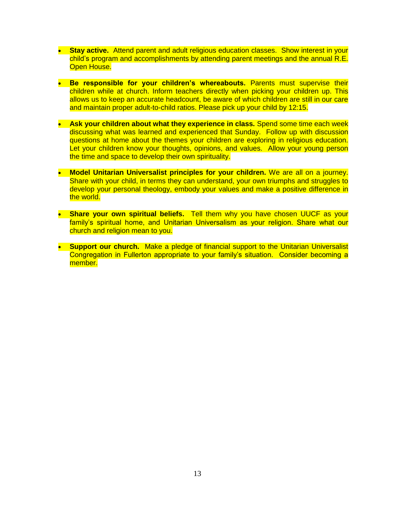- **Stay active.** Attend parent and adult religious education classes. Show interest in your child's program and accomplishments by attending parent meetings and the annual R.E. Open House.
- **Be responsible for your children's whereabouts.** Parents must supervise their children while at church. Inform teachers directly when picking your children up. This allows us to keep an accurate headcount, be aware of which children are still in our care and maintain proper adult-to-child ratios. Please pick up your child by 12:15.
- **Ask your children about what they experience in class.** Spend some time each week discussing what was learned and experienced that Sunday. Follow up with discussion questions at home about the themes your children are exploring in religious education. Let your children know your thoughts, opinions, and values. Allow your young person the time and space to develop their own spirituality.
- **Model Unitarian Universalist principles for your children.** We are all on a journey. Share with your child, in terms they can understand, your own triumphs and struggles to develop your personal theology, embody your values and make a positive difference in the world.
- **Share your own spiritual beliefs.** Tell them why you have chosen UUCF as your family's spiritual home, and Unitarian Universalism as your religion. Share what our church and religion mean to you.
- **Support our church.** Make a pledge of financial support to the Unitarian Universalist Congregation in Fullerton appropriate to your family's situation. Consider becoming a member.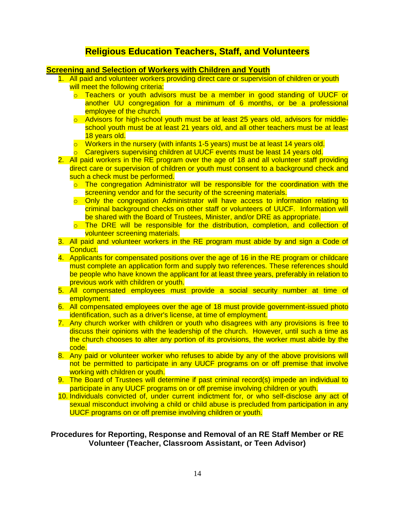# **Religious Education Teachers, Staff, and Volunteers**

#### **Screening and Selection of Workers with Children and Youth**

- 1. All paid and volunteer workers providing direct care or supervision of children or youth will meet the following criteria:
	- o Teachers or youth advisors must be a member in good standing of UUCF or another UU congregation for a minimum of 6 months, or be a professional employee of the church.
	- o Advisors for high-school youth must be at least 25 years old, advisors for middleschool youth must be at least 21 years old, and all other teachers must be at least 18 years old.
	- $\circ$  Workers in the nursery (with infants 1-5 years) must be at least 14 years old.
	- o Caregivers supervising children at UUCF events must be least 14 years old.
- 2. All paid workers in the RE program over the age of 18 and all volunteer staff providing direct care or supervision of children or youth must consent to a background check and such a check must be performed.
	- o The congregation Administrator will be responsible for the coordination with the screening vendor and for the security of the screening materials.
	- $\circ$  Only the congregation Administrator will have access to information relating to criminal background checks on other staff or volunteers of UUCF. Information will be shared with the Board of Trustees, Minister, and/or DRE as appropriate.
	- o The DRE will be responsible for the distribution, completion, and collection of volunteer screening materials.
- 3. All paid and volunteer workers in the RE program must abide by and sign a Code of Conduct.
- 4. Applicants for compensated positions over the age of 16 in the RE program or childcare must complete an application form and supply two references. These references should be people who have known the applicant for at least three years, preferably in relation to previous work with children or youth.
- 5. All compensated employees must provide a social security number at time of employment.
- 6. All compensated employees over the age of 18 must provide government-issued photo identification, such as a driver's license, at time of employment.
- 7. Any church worker with children or youth who disagrees with any provisions is free to discuss their opinions with the leadership of the church. However, until such a time as the church chooses to alter any portion of its provisions, the worker must abide by the code.
- 8. Any paid or volunteer worker who refuses to abide by any of the above provisions will not be permitted to participate in any UUCF programs on or off premise that involve working with children or youth.
- 9. The Board of Trustees will determine if past criminal record(s) impede an individual to participate in any UUCF programs on or off premise involving children or youth.
- 10. Individuals convicted of, under current indictment for, or who self-disclose any act of sexual misconduct involving a child or child abuse is precluded from participation in any UUCF programs on or off premise involving children or youth.

### **Procedures for Reporting, Response and Removal of an RE Staff Member or RE Volunteer (Teacher, Classroom Assistant, or Teen Advisor)**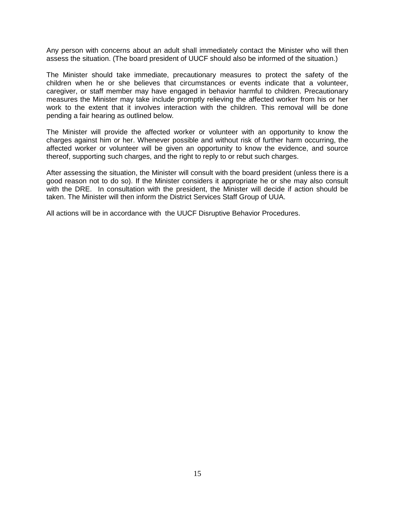Any person with concerns about an adult shall immediately contact the Minister who will then assess the situation. (The board president of UUCF should also be informed of the situation.)

The Minister should take immediate, precautionary measures to protect the safety of the children when he or she believes that circumstances or events indicate that a volunteer, caregiver, or staff member may have engaged in behavior harmful to children. Precautionary measures the Minister may take include promptly relieving the affected worker from his or her work to the extent that it involves interaction with the children. This removal will be done pending a fair hearing as outlined below.

The Minister will provide the affected worker or volunteer with an opportunity to know the charges against him or her. Whenever possible and without risk of further harm occurring, the affected worker or volunteer will be given an opportunity to know the evidence, and source thereof, supporting such charges, and the right to reply to or rebut such charges.

After assessing the situation, the Minister will consult with the board president (unless there is a good reason not to do so). If the Minister considers it appropriate he or she may also consult with the DRE. In consultation with the president, the Minister will decide if action should be taken. The Minister will then inform the District Services Staff Group of UUA.

All actions will be in accordance with the UUCF Disruptive Behavior Procedures.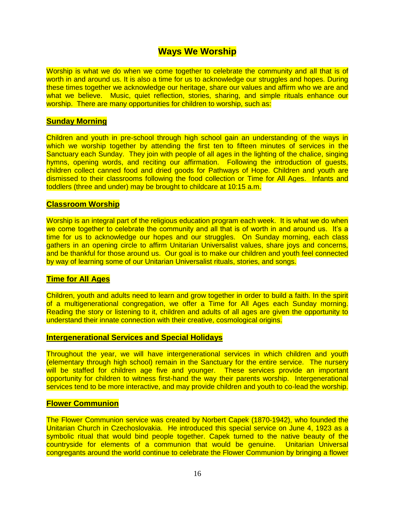## **Ways We Worship**

Worship is what we do when we come together to celebrate the community and all that is of worth in and around us. It is also a time for us to acknowledge our struggles and hopes. During these times together we acknowledge our heritage, share our values and affirm who we are and what we believe. Music, quiet reflection, stories, sharing, and simple rituals enhance our worship. There are many opportunities for children to worship, such as:

#### **Sunday Morning**

Children and youth in pre-school through high school gain an understanding of the ways in which we worship together by attending the first ten to fifteen minutes of services in the Sanctuary each Sunday. They join with people of all ages in the lighting of the chalice, singing hymns, opening words, and reciting our affirmation. Following the introduction of guests, children collect canned food and dried goods for Pathways of Hope. Children and youth are dismissed to their classrooms following the food collection or Time for All Ages. Infants and toddlers (three and under) may be brought to childcare at 10:15 a.m.

#### **Classroom Worship**

Worship is an integral part of the religious education program each week. It is what we do when we come together to celebrate the community and all that is of worth in and around us. It's a time for us to acknowledge our hopes and our struggles. On Sunday morning, each class gathers in an opening circle to affirm Unitarian Universalist values, share joys and concerns, and be thankful for those around us. Our goal is to make our children and youth feel connected by way of learning some of our Unitarian Universalist rituals, stories, and songs.

#### **Time for All Ages**

Children, youth and adults need to learn and grow together in order to build a faith. In the spirit of a multigenerational congregation, we offer a Time for All Ages each Sunday morning. Reading the story or listening to it, children and adults of all ages are given the opportunity to understand their innate connection with their creative, cosmological origins.

#### **Intergenerational Services and Special Holidays**

Throughout the year, we will have intergenerational services in which children and youth (elementary through high school) remain in the Sanctuary for the entire service. The nursery will be staffed for children age five and younger. These services provide an important opportunity for children to witness first-hand the way their parents worship. Intergenerational services tend to be more interactive, and may provide children and youth to co-lead the worship.

#### **Flower Communion**

The Flower Communion service was created by Norbert Capek (1870-1942), who founded the Unitarian Church in Czechoslovakia. He introduced this special service on June 4, 1923 as a symbolic ritual that would bind people together. Capek turned to the native beauty of the countryside for elements of a communion that would be genuine. Unitarian Universal congregants around the world continue to celebrate the Flower Communion by bringing a flower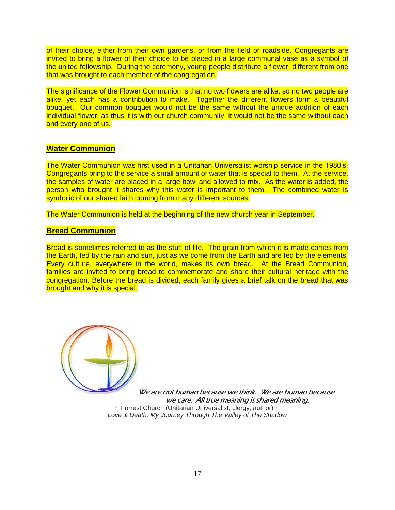of their choice, either from their own gardens, or from the field or roadside. Congregants are invited to bring a flower of their choice to be placed in a large communal vase as a symbol of the united fellowship. During the ceremony, young people distribute a flower, different from one that was brought to each member of the congregation.

The significance of the Flower Communion is that no two flowers are alike, so no two people are alike, yet each has a contribution to make. Together the different flowers form a beautiful bouquet. Our common bouquet would not be the same without the unique addition of each individual flower, as thus it is with our church community, it would not be the same without each and every one of us.

#### **Water Communion**

The Water Communion was first used in a Unitarian Universalist worship service in the 1980's. Congregants bring to the service a small amount of water that is special to them. At the service, the samples of water are placed in a large bowl and allowed to mix. As the water is added, the person who brought it shares why this water is important to them. The combined water is symbolic of our shared faith coming from many different sources.

The Water Communion is held at the beginning of the new church year in September.

#### **Bread Communion**

Bread is sometimes referred to as the stuff of life. The grain from which it is made comes from the Earth, fed by the rain and sun, just as we come from the Earth and are fed by the elements. Every culture, everywhere in the world, makes its own bread. At the Bread Communion, families are invited to bring bread to commemorate and share their cultural heritage with the congregation. Before the bread is divided, each family gives a brief talk on the bread that was brought and why it is special.



We are not human because we think. We are human because we care. All true meaning is shared meaning.  $\sim$  Forrest Church (Unitarian Universalist, clergy, author)  $\sim$ *Love & Death: My Journey Through The Valley of The Shadow*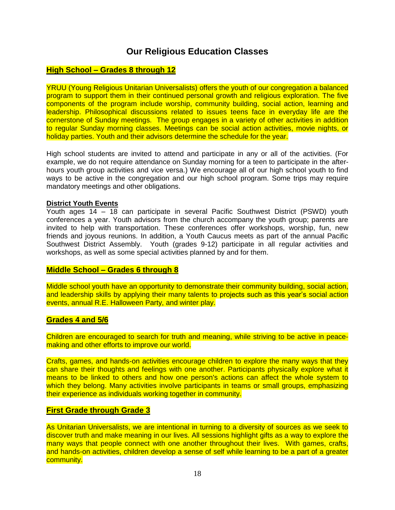# **Our Religious Education Classes**

## **High School – Grades 8 through 12**

YRUU (Young Religious Unitarian Universalists) offers the youth of our congregation a balanced program to support them in their continued personal growth and religious exploration. The five components of the program include worship, community building, social action, learning and leadership. Philosophical discussions related to issues teens face in everyday life are the cornerstone of Sunday meetings. The group engages in a variety of other activities in addition to regular Sunday morning classes. Meetings can be social action activities, movie nights, or holiday parties. Youth and their advisors determine the schedule for the year.

High school students are invited to attend and participate in any or all of the activities. (For example, we do not require attendance on Sunday morning for a teen to participate in the afterhours youth group activities and vice versa.) We encourage all of our high school youth to find ways to be active in the congregation and our high school program. Some trips may require mandatory meetings and other obligations.

#### **District Youth Events**

Youth ages 14 – 18 can participate in several Pacific Southwest District (PSWD) youth conferences a year. Youth advisors from the church accompany the youth group; parents are invited to help with transportation. These conferences offer workshops, worship, fun, new friends and joyous reunions. In addition, a Youth Caucus meets as part of the annual Pacific Southwest District Assembly. Youth (grades 9-12) participate in all regular activities and workshops, as well as some special activities planned by and for them.

#### **Middle School – Grades 6 through 8**

Middle school youth have an opportunity to demonstrate their community building, social action, and leadership skills by applying their many talents to projects such as this year's social action events, annual R.E. Halloween Party, and winter play.

#### **Grades 4 and 5/6**

Children are encouraged to search for truth and meaning, while striving to be active in peacemaking and other efforts to improve our world.

Crafts, games, and hands-on activities encourage children to explore the many ways that they can share their thoughts and feelings with one another. Participants physically explore what it means to be linked to others and how one person's actions can affect the whole system to which they belong. Many activities involve participants in teams or small groups, emphasizing their experience as individuals working together in community.

#### **First Grade through Grade 3**

As Unitarian Universalists, we are intentional in turning to a diversity of sources as we seek to discover truth and make meaning in our lives. All sessions highlight gifts as a way to explore the many ways that people connect with one another throughout their lives. With games, crafts, and hands-on activities, children develop a sense of self while learning to be a part of a greater community.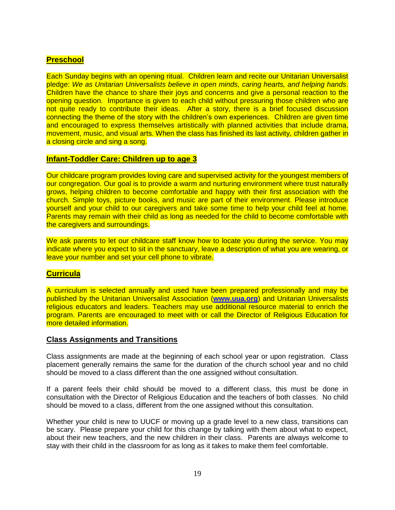## **Preschool**

Each Sunday begins with an opening ritual. Children learn and recite our Unitarian Universalist pledge: *We as Unitarian Universalists believe in open minds, caring hearts, and helping hands*. Children have the chance to share their joys and concerns and give a personal reaction to the opening question. Importance is given to each child without pressuring those children who are not quite ready to contribute their ideas. After a story, there is a brief focused discussion connecting the theme of the story with the children's own experiences. Children are given time and encouraged to express themselves artistically with planned activities that include drama, movement, music, and visual arts. When the class has finished its last activity, children gather in a closing circle and sing a song.

#### **Infant-Toddler Care: Children up to age 3**

Our childcare program provides loving care and supervised activity for the youngest members of our congregation. Our goal is to provide a warm and nurturing environment where trust naturally grows, helping children to become comfortable and happy with their first association with the church. Simple toys, picture books, and music are part of their environment. Please introduce yourself and your child to our caregivers and take some time to help your child feel at home. Parents may remain with their child as long as needed for the child to become comfortable with the caregivers and surroundings.

We ask parents to let our childcare staff know how to locate you during the service. You may indicate where you expect to sit in the sanctuary, leave a description of what you are wearing, or leave your number and set your cell phone to vibrate.

#### **Curricula**

A curriculum is selected annually and used have been prepared professionally and may be published by the Unitarian Universalist Association (**[www.uua.org](http://www.uua.org/)**) and Unitarian Universalists religious educators and leaders. Teachers may use additional resource material to enrich the program. Parents are encouraged to meet with or call the Director of Religious Education for more detailed information.

#### **Class Assignments and Transitions**

Class assignments are made at the beginning of each school year or upon registration. Class placement generally remains the same for the duration of the church school year and no child should be moved to a class different than the one assigned without consultation.

If a parent feels their child should be moved to a different class, this must be done in consultation with the Director of Religious Education and the teachers of both classes. No child should be moved to a class, different from the one assigned without this consultation.

Whether your child is new to UUCF or moving up a grade level to a new class, transitions can be scary. Please prepare your child for this change by talking with them about what to expect, about their new teachers, and the new children in their class. Parents are always welcome to stay with their child in the classroom for as long as it takes to make them feel comfortable.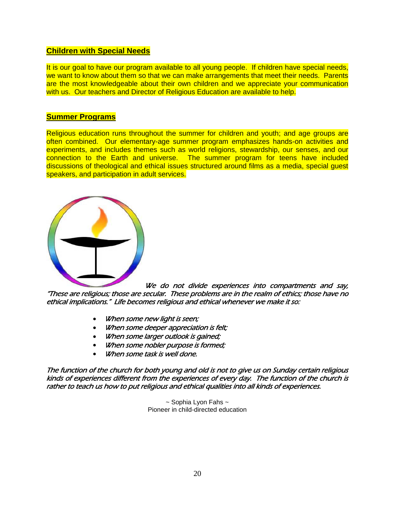### **Children with Special Needs**

It is our goal to have our program available to all young people. If children have special needs, we want to know about them so that we can make arrangements that meet their needs. Parents are the most knowledgeable about their own children and we appreciate your communication with us. Our teachers and Director of Religious Education are available to help.

#### **Summer Programs**

Religious education runs throughout the summer for children and youth; and age groups are often combined. Our elementary-age summer program emphasizes hands-on activities and experiments, and includes themes such as world religions, stewardship, our senses, and our connection to the Earth and universe. The summer program for teens have included discussions of theological and ethical issues structured around films as a media, special guest speakers, and participation in adult services.



We do not divide experiences into compartments and say, "These are religious; those are secular. These problems are in the realm of ethics; those have no ethical implications." Life becomes religious and ethical whenever we make it so:

- When some new light is seen;
- When some deeper appreciation is felt;
- When some larger outlook is gained;
- When some nobler purpose is formed;
- When some task is well done.

The function of the church for both young and old is not to give us on Sunday certain religious kinds of experiences different from the experiences of every day. The function of the church is rather to teach us how to put religious and ethical qualities into all kinds of experiences.

> $\sim$  Sophia Lyon Fahs  $\sim$ Pioneer in child-directed education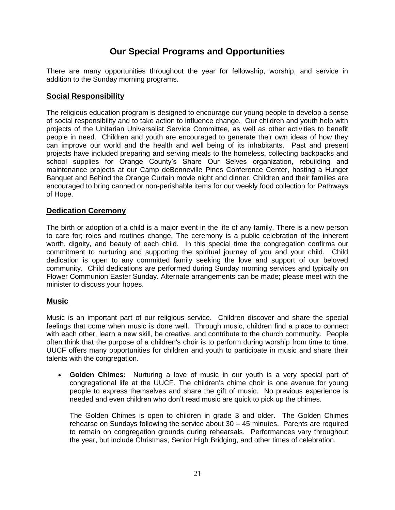# **Our Special Programs and Opportunities**

There are many opportunities throughout the year for fellowship, worship, and service in addition to the Sunday morning programs.

## **Social Responsibility**

The religious education program is designed to encourage our young people to develop a sense of social responsibility and to take action to influence change. Our children and youth help with projects of the Unitarian Universalist Service Committee, as well as other activities to benefit people in need. Children and youth are encouraged to generate their own ideas of how they can improve our world and the health and well being of its inhabitants. Past and present projects have included preparing and serving meals to the homeless, collecting backpacks and school supplies for Orange County's Share Our Selves organization, rebuilding and maintenance projects at our Camp deBenneville Pines Conference Center, hosting a Hunger Banquet and Behind the Orange Curtain movie night and dinner. Children and their families are encouraged to bring canned or non-perishable items for our weekly food collection for Pathways of Hope.

### **Dedication Ceremony**

The birth or adoption of a child is a major event in the life of any family. There is a new person to care for; roles and routines change. The ceremony is a public celebration of the inherent worth, dignity, and beauty of each child. In this special time the congregation confirms our commitment to nurturing and supporting the spiritual journey of you and your child. Child dedication is open to any committed family seeking the love and support of our beloved community. Child dedications are performed during Sunday morning services and typically on Flower Communion Easter Sunday. Alternate arrangements can be made; please meet with the minister to discuss your hopes.

## **Music**

Music is an important part of our religious service. Children discover and share the special feelings that come when music is done well. Through music, children find a place to connect with each other, learn a new skill, be creative, and contribute to the church community. People often think that the purpose of a children's choir is to perform during worship from time to time. UUCF offers many opportunities for children and youth to participate in music and share their talents with the congregation.

 **Golden Chimes:** Nurturing a love of music in our youth is a very special part of congregational life at the UUCF. The children's chime choir is one avenue for young people to express themselves and share the gift of music. No previous experience is needed and even children who don't read music are quick to pick up the chimes.

The Golden Chimes is open to children in grade 3 and older. The Golden Chimes rehearse on Sundays following the service about 30 – 45 minutes. Parents are required to remain on congregation grounds during rehearsals. Performances vary throughout the year, but include Christmas, Senior High Bridging, and other times of celebration.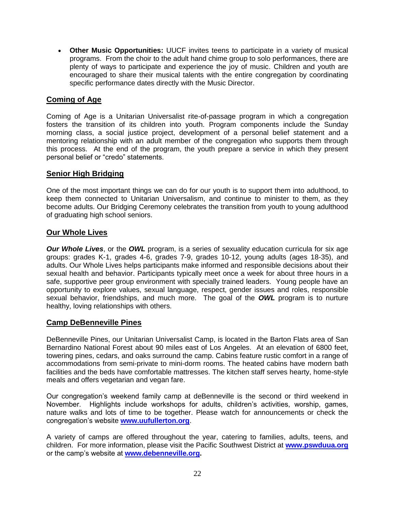**[Other Music Opportunities:](http://www.uubloomington.org/worship/music/otherChildrensOpps.php)** UUCF invites teens to participate in a variety of musical programs. From the choir to the adult hand chime group to solo performances, there are plenty of ways to participate and experience the joy of music. Children and youth are encouraged to share their musical talents with the entire congregation by coordinating specific performance dates directly with the Music Director.

## **Coming of Age**

Coming of Age is a Unitarian Universalist rite-of-passage program in which a congregation fosters the transition of its children into youth. Program components include the Sunday morning class, a social justice project, development of a personal belief statement and a mentoring relationship with an adult member of the congregation who supports them through this process. At the end of the program, the youth prepare a service in which they present personal belief or "credo" statements.

## **Senior High Bridging**

One of the most important things we can do for our youth is to support them into adulthood, to keep them connected to Unitarian Universalism, and continue to minister to them, as they become adults. Our Bridging Ceremony celebrates the transition from youth to young adulthood of graduating high school seniors.

## **Our Whole Lives**

*Our Whole Lives*, or the *OWL* program, is a series of sexuality education curricula for six age groups: grades K-1, grades 4-6, grades 7-9, grades 10-12, young adults (ages 18-35), and adults. Our Whole Lives helps participants make informed and responsible decisions about their sexual health and behavior. Participants typically meet once a week for about three hours in a safe, supportive peer group environment with specially trained leaders. Young people have an opportunity to explore values, sexual language, respect, gender issues and roles, responsible sexual behavior, friendships, and much more. The goal of the *OWL* program is to nurture healthy, loving relationships with others.

## **Camp DeBenneville Pines**

DeBenneville Pines, our Unitarian Universalist Camp, is located in the Barton Flats area of San Bernardino National Forest about 90 miles east of Los Angeles. At an elevation of 6800 feet, towering pines, cedars, and oaks surround the camp. Cabins feature rustic comfort in a range of accommodations from semi-private to mini-dorm rooms. The heated cabins have modern bath facilities and the beds have comfortable mattresses. The kitchen staff serves hearty, home-style meals and offers vegetarian and vegan fare.

Our congregation's weekend family camp at deBenneville is the second or third weekend in November. Highlights include workshops for adults, children's activities, worship, games, nature walks and lots of time to be together. Please watch for announcements or check the congregation's website **[www.uufullerton.org](http://www.uufullerton.org/)**.

A variety of camps are offered throughout the year, catering to families, adults, teens, and children. For more information, please visit the Pacific Southwest District at **[www.pswduua.org](http://www.pswduua.org/)** or the camp's website at **[www.debenneville.org.](http://www.debenneville.org/)**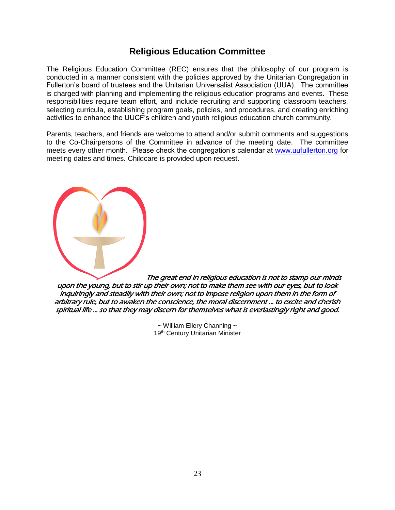# **Religious Education Committee**

The Religious Education Committee (REC) ensures that the philosophy of our program is conducted in a manner consistent with the policies approved by the Unitarian Congregation in Fullerton's board of trustees and the Unitarian Universalist Association (UUA). The committee is charged with planning and implementing the religious education programs and events. These responsibilities require team effort, and include recruiting and supporting classroom teachers, selecting curricula, establishing program goals, policies, and procedures, and creating enriching activities to enhance the UUCF's children and youth religious education church community.

Parents, teachers, and friends are welcome to attend and/or submit comments and suggestions to the Co-Chairpersons of the Committee in advance of the meeting date. The committee meets every other month. Please check the congregation's calendar at [www.uufullerton.org](http://www.uufullerton.org/) for meeting dates and times. Childcare is provided upon request.

[T](http://www.uua.org/communications/art/48720_86.shtml)he great end in religious education is not to stamp our minds upon the young, but to stir up their own; not to make them see with our eyes, but to look inquiringly and steadily with their own; not to impose religion upon them in the form of arbitrary rule, but to awaken the conscience, the moral discernment ... to excite and cherish spiritual life ... so that they may discern for themselves what is everlastingly right and good.

> $\sim$  William Ellery Channing  $\sim$ 19th Century Unitarian Minister